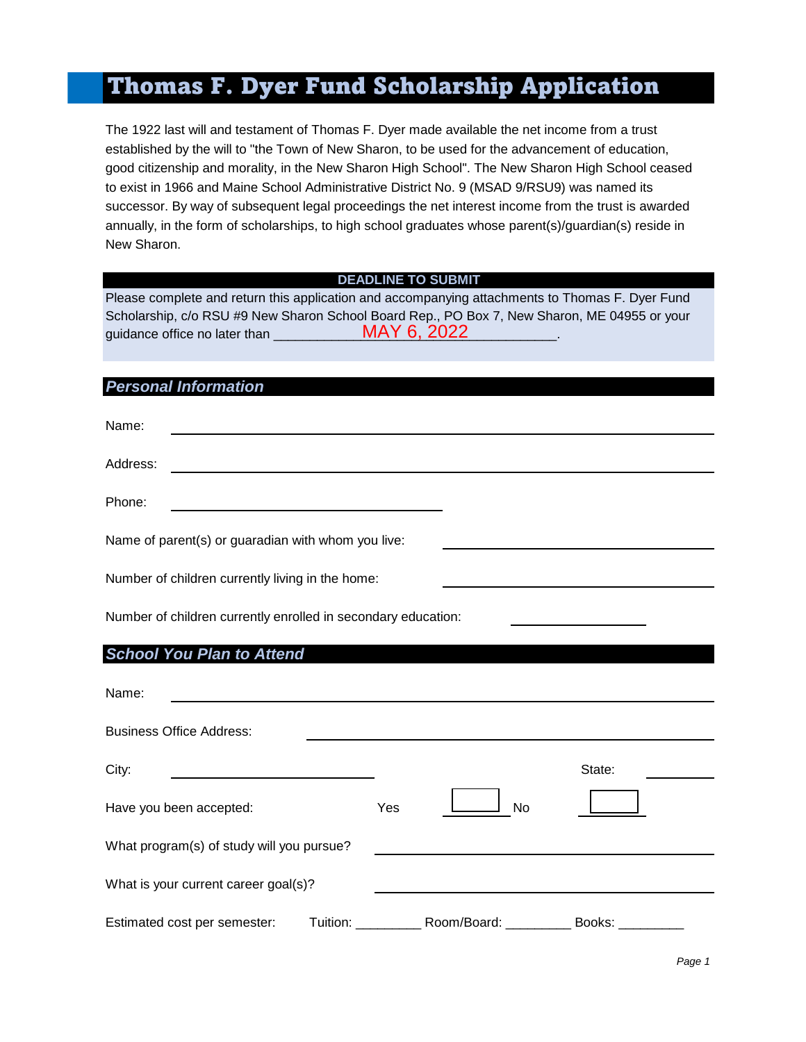# Thomas F. Dyer Fund Scholarship Application

The 1922 last will and testament of Thomas F. Dyer made available the net income from a trust established by the will to "the Town of New Sharon, to be used for the advancement of education, good citizenship and morality, in the New Sharon High School". The New Sharon High School ceased to exist in 1966 and Maine School Administrative District No. 9 (MSAD 9/RSU9) was named its successor. By way of subsequent legal proceedings the net interest income from the trust is awarded annually, in the form of scholarships, to high school graduates whose parent(s)/guardian(s) reside in New Sharon.

#### **DEADLINE TO SUBMIT**

Please complete and return this application and accompanying attachments to Thomas F. Dyer Fund Scholarship, c/o RSU #9 New Sharon School Board Rep., PO Box 7, New Sharon, ME 04955 or your guidance office no later than MAY 6, 2022

#### *Personal Information*

| Name:                                                                                                                                                                                                                                     |     |    |        |
|-------------------------------------------------------------------------------------------------------------------------------------------------------------------------------------------------------------------------------------------|-----|----|--------|
| Address:<br>the control of the control of the control of the control of the control of the control of the control of the control of the control of the control of the control of the control of the control of the control of the control |     |    |        |
| Phone:                                                                                                                                                                                                                                    |     |    |        |
| Name of parent(s) or guaradian with whom you live:                                                                                                                                                                                        |     |    |        |
| Number of children currently living in the home:                                                                                                                                                                                          |     |    |        |
| Number of children currently enrolled in secondary education:                                                                                                                                                                             |     |    |        |
| <b>School You Plan to Attend</b>                                                                                                                                                                                                          |     |    |        |
| Name:<br><u> 1980 - Jan James James James James James James James James James James James James James James James James J</u>                                                                                                             |     |    |        |
| <b>Business Office Address:</b>                                                                                                                                                                                                           |     |    |        |
| City:                                                                                                                                                                                                                                     |     |    | State: |
| Have you been accepted:                                                                                                                                                                                                                   | Yes | No |        |
| What program(s) of study will you pursue?                                                                                                                                                                                                 |     |    |        |
| What is your current career goal(s)?                                                                                                                                                                                                      |     |    |        |

Estimated cost per semester: Tuition: \_\_\_\_\_\_\_\_\_\_\_\_ Room/Board: \_\_\_\_\_\_\_\_\_\_ Books: \_\_\_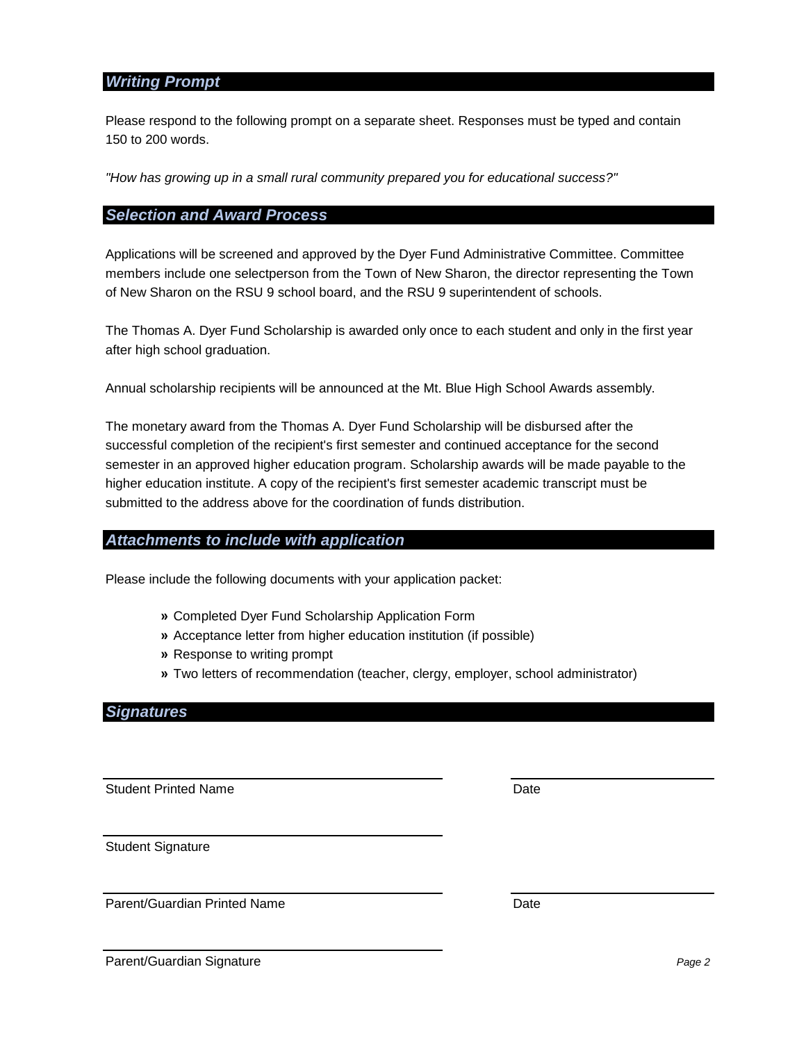### *Writing Prompt*

Please respond to the following prompt on a separate sheet. Responses must be typed and contain 150 to 200 words.

*"How has growing up in a small rural community prepared you for educational success?"*

#### *Selection and Award Process*

Applications will be screened and approved by the Dyer Fund Administrative Committee. Committee members include one selectperson from the Town of New Sharon, the director representing the Town of New Sharon on the RSU 9 school board, and the RSU 9 superintendent of schools.

The Thomas A. Dyer Fund Scholarship is awarded only once to each student and only in the first year after high school graduation.

Annual scholarship recipients will be announced at the Mt. Blue High School Awards assembly.

The monetary award from the Thomas A. Dyer Fund Scholarship will be disbursed after the successful completion of the recipient's first semester and continued acceptance for the second semester in an approved higher education program. Scholarship awards will be made payable to the higher education institute. A copy of the recipient's first semester academic transcript must be submitted to the address above for the coordination of funds distribution.

#### *Attachments to include with application*

Please include the following documents with your application packet:

- **»** Completed Dyer Fund Scholarship Application Form
- **»** Acceptance letter from higher education institution (if possible)
- **»** Response to writing prompt
- **»** Two letters of recommendation (teacher, clergy, employer, school administrator)

## *Signatures*

Student Printed Name **Date** Date

Student Signature

Parent/Guardian Printed Name **Date** Date

Parent/Guardian Signature *Page 2*